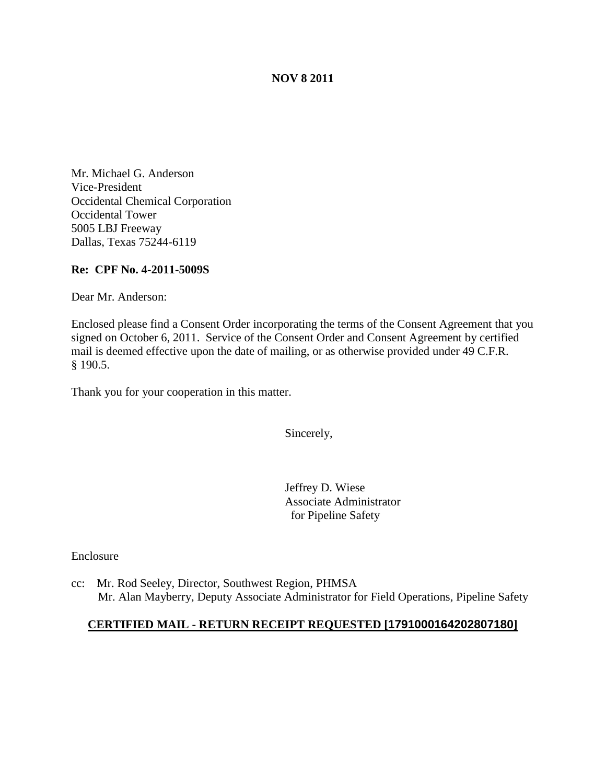### **NOV 8 2011**

Mr. Michael G. Anderson Vice-President Occidental Chemical Corporation Occidental Tower 5005 LBJ Freeway Dallas, Texas 75244-6119

### **Re: CPF No. 4-2011-5009S**

Dear Mr. Anderson:

Enclosed please find a Consent Order incorporating the terms of the Consent Agreement that you signed on October 6, 2011. Service of the Consent Order and Consent Agreement by certified mail is deemed effective upon the date of mailing, or as otherwise provided under 49 C.F.R. § 190.5.

Thank you for your cooperation in this matter.

Sincerely,

Jeffrey D. Wiese Associate Administrator for Pipeline Safety

Enclosure

cc: Mr. Rod Seeley, Director, Southwest Region, PHMSA Mr. Alan Mayberry, Deputy Associate Administrator for Field Operations, Pipeline Safety

### **CERTIFIED MAIL - RETURN RECEIPT REQUESTED [1791000164202807180]**